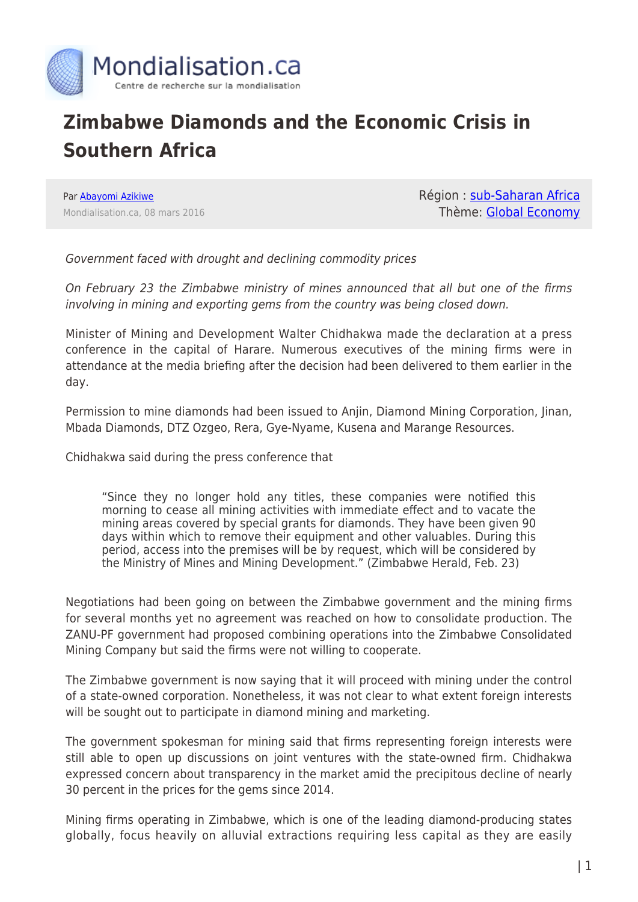

## **Zimbabwe Diamonds and the Economic Crisis in Southern Africa**

Par [Abayomi Azikiwe](https://www.mondialisation.ca/author/abayomi-azikiwe) Mondialisation.ca, 08 mars 2016 Région : [sub-Saharan Africa](https://www.mondialisation.ca/region/sub-saharan-africa) Thème: [Global Economy](https://www.mondialisation.ca/theme/global-economy)

Government faced with drought and declining commodity prices

On February 23 the Zimbabwe ministry of mines announced that all but one of the firms involving in mining and exporting gems from the country was being closed down.

Minister of Mining and Development Walter Chidhakwa made the declaration at a press conference in the capital of Harare. Numerous executives of the mining firms were in attendance at the media briefing after the decision had been delivered to them earlier in the day.

Permission to mine diamonds had been issued to Anjin, Diamond Mining Corporation, Jinan, Mbada Diamonds, DTZ Ozgeo, Rera, Gye-Nyame, Kusena and Marange Resources.

Chidhakwa said during the press conference that

"Since they no longer hold any titles, these companies were notified this morning to cease all mining activities with immediate effect and to vacate the mining areas covered by special grants for diamonds. They have been given 90 days within which to remove their equipment and other valuables. During this period, access into the premises will be by request, which will be considered by the Ministry of Mines and Mining Development." (Zimbabwe Herald, Feb. 23)

Negotiations had been going on between the Zimbabwe government and the mining firms for several months yet no agreement was reached on how to consolidate production. The ZANU-PF government had proposed combining operations into the Zimbabwe Consolidated Mining Company but said the firms were not willing to cooperate.

The Zimbabwe government is now saying that it will proceed with mining under the control of a state-owned corporation. Nonetheless, it was not clear to what extent foreign interests will be sought out to participate in diamond mining and marketing.

The government spokesman for mining said that firms representing foreign interests were still able to open up discussions on joint ventures with the state-owned firm. Chidhakwa expressed concern about transparency in the market amid the precipitous decline of nearly 30 percent in the prices for the gems since 2014.

Mining firms operating in Zimbabwe, which is one of the leading diamond-producing states globally, focus heavily on alluvial extractions requiring less capital as they are easily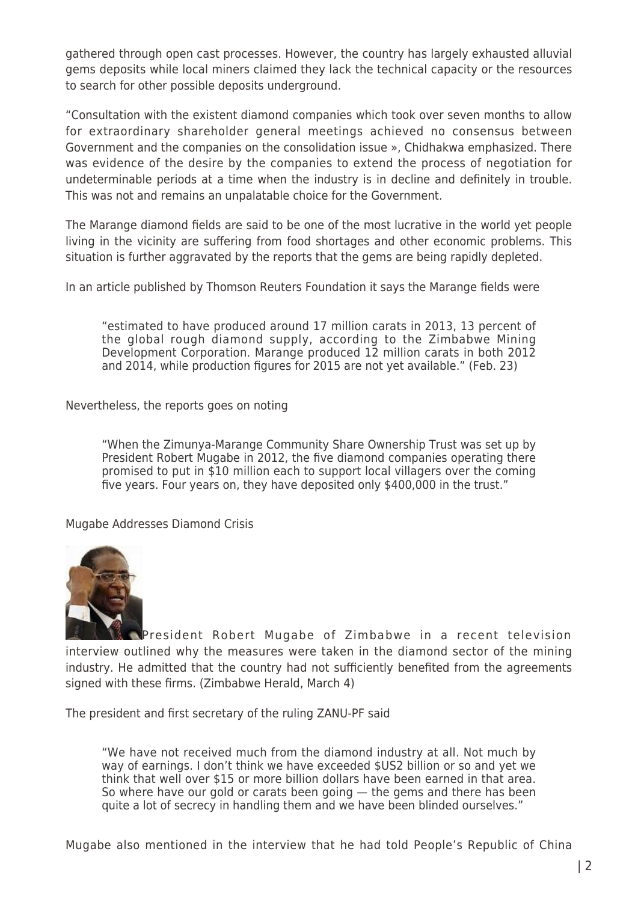gathered through open cast processes. However, the country has largely exhausted alluvial gems deposits while local miners claimed they lack the technical capacity or the resources to search for other possible deposits underground.

"Consultation with the existent diamond companies which took over seven months to allow for extraordinary shareholder general meetings achieved no consensus between Government and the companies on the consolidation issue », Chidhakwa emphasized. There was evidence of the desire by the companies to extend the process of negotiation for undeterminable periods at a time when the industry is in decline and definitely in trouble. This was not and remains an unpalatable choice for the Government.

The Marange diamond fields are said to be one of the most lucrative in the world yet people living in the vicinity are suffering from food shortages and other economic problems. This situation is further aggravated by the reports that the gems are being rapidly depleted.

In an article published by Thomson Reuters Foundation it says the Marange fields were

"estimated to have produced around 17 million carats in 2013, 13 percent of the global rough diamond supply, according to the Zimbabwe Mining Development Corporation. Marange produced 12 million carats in both 2012 and 2014, while production figures for 2015 are not yet available." (Feb. 23)

Nevertheless, the reports goes on noting

"When the Zimunya-Marange Community Share Ownership Trust was set up by President Robert Mugabe in 2012, the five diamond companies operating there promised to put in \$10 million each to support local villagers over the coming five years. Four years on, they have deposited only \$400,000 in the trust."

Mugabe Addresses Diamond Crisis



[P](http://www.globalresearch.ca/wp-content/uploads/2013/12/mugabe.jpg)resident Robert Mugabe of Zimbabwe in a recent television interview outlined why the measures were taken in the diamond sector of the mining industry. He admitted that the country had not sufficiently benefited from the agreements signed with these firms. (Zimbabwe Herald, March 4)

The president and first secretary of the ruling ZANU-PF said

"We have not received much from the diamond industry at all. Not much by way of earnings. I don't think we have exceeded \$US2 billion or so and yet we think that well over \$15 or more billion dollars have been earned in that area. So where have our gold or carats been going — the gems and there has been quite a lot of secrecy in handling them and we have been blinded ourselves."

Mugabe also mentioned in the interview that he had told People's Republic of China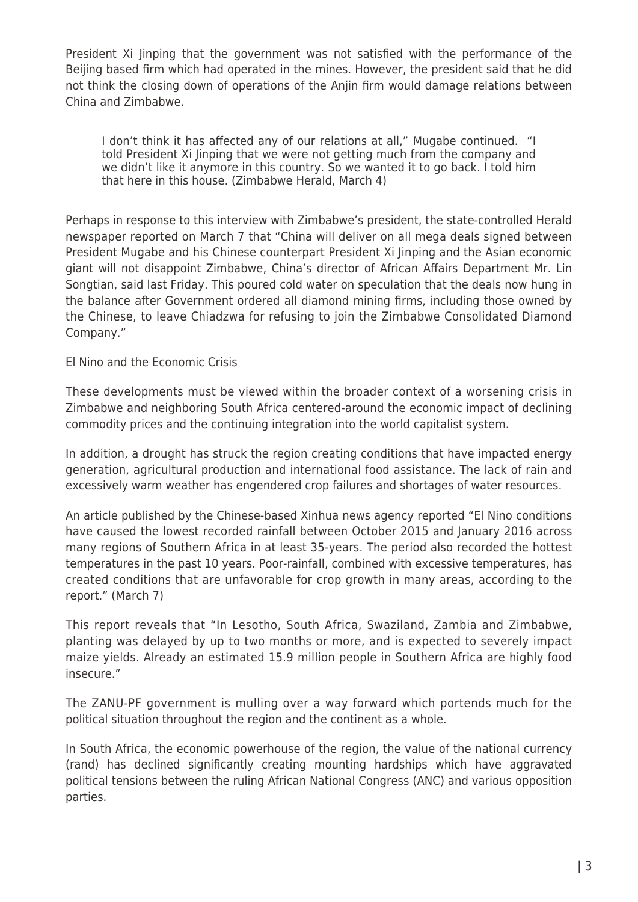President Xi Jinping that the government was not satisfied with the performance of the Beijing based firm which had operated in the mines. However, the president said that he did not think the closing down of operations of the Anjin firm would damage relations between China and Zimbabwe.

I don't think it has affected any of our relations at all," Mugabe continued. "I told President Xi Jinping that we were not getting much from the company and we didn't like it anymore in this country. So we wanted it to go back. I told him that here in this house. (Zimbabwe Herald, March 4)

Perhaps in response to this interview with Zimbabwe's president, the state-controlled Herald newspaper reported on March 7 that "China will deliver on all mega deals signed between President Mugabe and his Chinese counterpart President Xi Jinping and the Asian economic giant will not disappoint Zimbabwe, China's director of African Affairs Department Mr. Lin Songtian, said last Friday. This poured cold water on speculation that the deals now hung in the balance after Government ordered all diamond mining firms, including those owned by the Chinese, to leave Chiadzwa for refusing to join the Zimbabwe Consolidated Diamond Company."

El Nino and the Economic Crisis

These developments must be viewed within the broader context of a worsening crisis in Zimbabwe and neighboring South Africa centered-around the economic impact of declining commodity prices and the continuing integration into the world capitalist system.

In addition, a drought has struck the region creating conditions that have impacted energy generation, agricultural production and international food assistance. The lack of rain and excessively warm weather has engendered crop failures and shortages of water resources.

An article published by the Chinese-based Xinhua news agency reported "El Nino conditions have caused the lowest recorded rainfall between October 2015 and January 2016 across many regions of Southern Africa in at least 35-years. The period also recorded the hottest temperatures in the past 10 years. Poor-rainfall, combined with excessive temperatures, has created conditions that are unfavorable for crop growth in many areas, according to the report." (March 7)

This report reveals that "In Lesotho, South Africa, Swaziland, Zambia and Zimbabwe, planting was delayed by up to two months or more, and is expected to severely impact maize yields. Already an estimated 15.9 million people in Southern Africa are highly food insecure."

The ZANU-PF government is mulling over a way forward which portends much for the political situation throughout the region and the continent as a whole.

In South Africa, the economic powerhouse of the region, the value of the national currency (rand) has declined significantly creating mounting hardships which have aggravated political tensions between the ruling African National Congress (ANC) and various opposition parties.